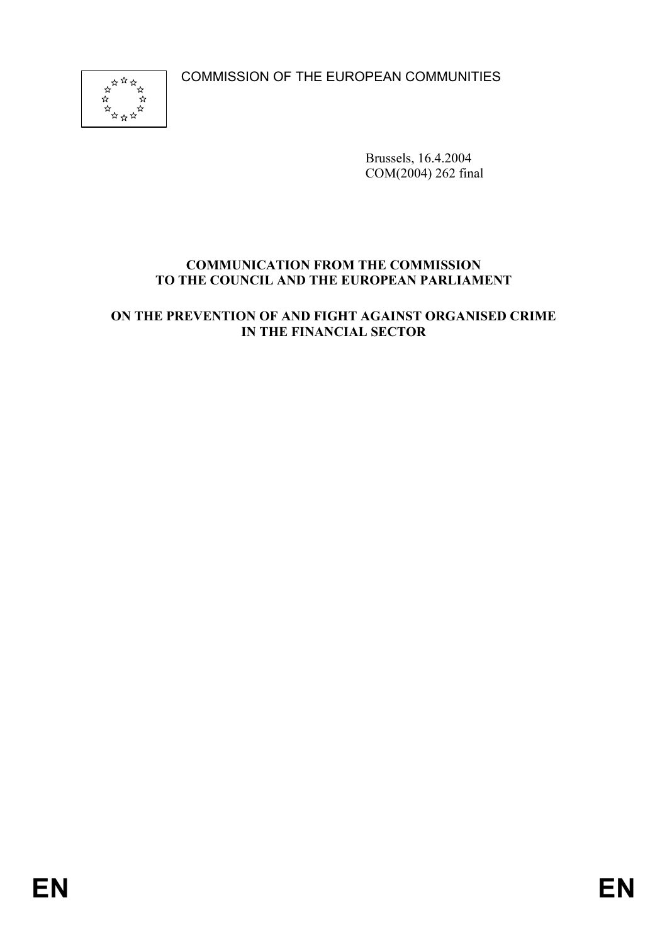COMMISSION OF THE EUROPEAN COMMUNITIES



Brussels, 16.4.2004 COM(2004) 262 final

# **COMMUNICATION FROM THE COMMISSION TO THE COUNCIL AND THE EUROPEAN PARLIAMENT**

**ON THE PREVENTION OF AND FIGHT AGAINST ORGANISED CRIME IN THE FINANCIAL SECTOR**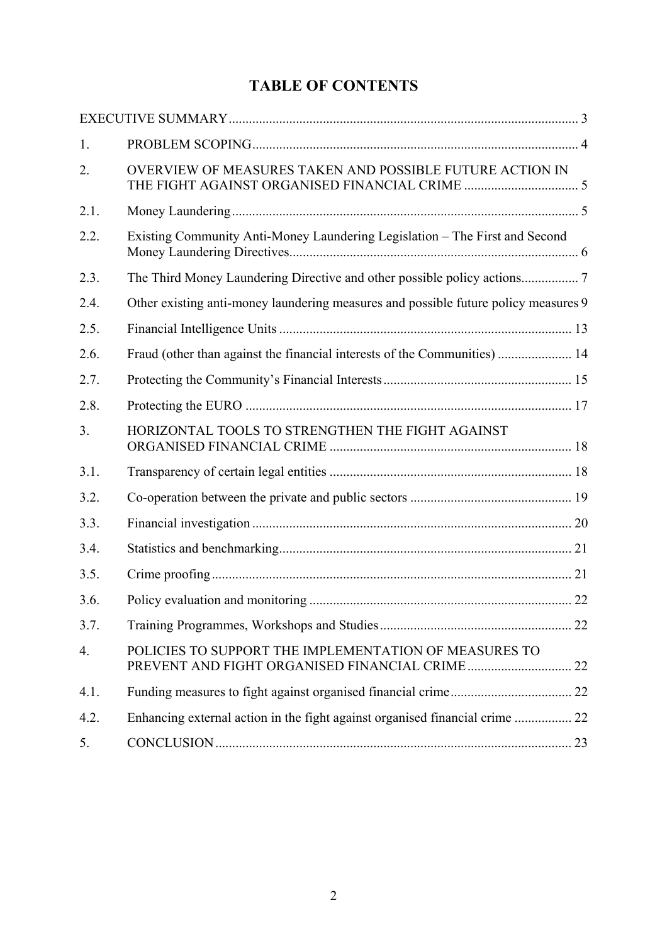# **TABLE OF CONTENTS**

| 1.   |                                                                                     |  |
|------|-------------------------------------------------------------------------------------|--|
| 2.   | OVERVIEW OF MEASURES TAKEN AND POSSIBLE FUTURE ACTION IN                            |  |
| 2.1. |                                                                                     |  |
| 2.2. | Existing Community Anti-Money Laundering Legislation - The First and Second         |  |
| 2.3. |                                                                                     |  |
| 2.4. | Other existing anti-money laundering measures and possible future policy measures 9 |  |
| 2.5. |                                                                                     |  |
| 2.6. | Fraud (other than against the financial interests of the Communities)  14           |  |
| 2.7. |                                                                                     |  |
| 2.8. |                                                                                     |  |
| 3.   | HORIZONTAL TOOLS TO STRENGTHEN THE FIGHT AGAINST                                    |  |
| 3.1. |                                                                                     |  |
| 3.2. |                                                                                     |  |
| 3.3. |                                                                                     |  |
| 3.4. |                                                                                     |  |
| 3.5. |                                                                                     |  |
| 3.6. |                                                                                     |  |
| 3.7. |                                                                                     |  |
| 4.   | POLICIES TO SUPPORT THE IMPLEMENTATION OF MEASURES TO                               |  |
| 4.1. |                                                                                     |  |
| 4.2. |                                                                                     |  |
| 5.   |                                                                                     |  |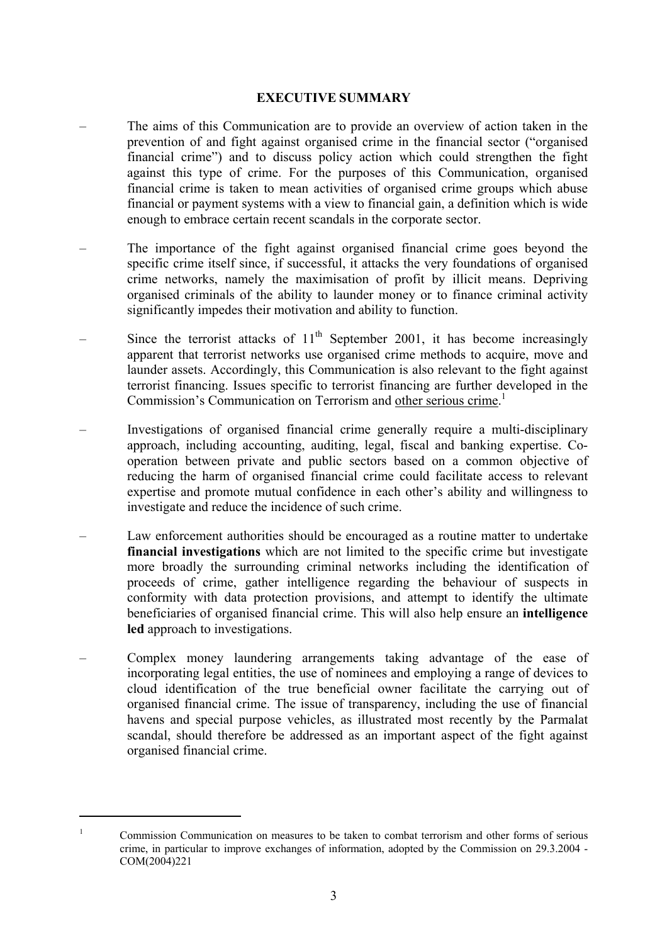#### **EXECUTIVE SUMMARY**

- The aims of this Communication are to provide an overview of action taken in the prevention of and fight against organised crime in the financial sector ("organised financial crime") and to discuss policy action which could strengthen the fight against this type of crime. For the purposes of this Communication, organised financial crime is taken to mean activities of organised crime groups which abuse financial or payment systems with a view to financial gain, a definition which is wide enough to embrace certain recent scandals in the corporate sector.
- The importance of the fight against organised financial crime goes beyond the specific crime itself since, if successful, it attacks the very foundations of organised crime networks, namely the maximisation of profit by illicit means. Depriving organised criminals of the ability to launder money or to finance criminal activity significantly impedes their motivation and ability to function.
- Since the terrorist attacks of  $11<sup>th</sup>$  September 2001, it has become increasingly apparent that terrorist networks use organised crime methods to acquire, move and launder assets. Accordingly, this Communication is also relevant to the fight against terrorist financing. Issues specific to terrorist financing are further developed in the Commission's Communication on Terrorism and other serious crime.<sup>1</sup>
- Investigations of organised financial crime generally require a multi-disciplinary approach, including accounting, auditing, legal, fiscal and banking expertise. Cooperation between private and public sectors based on a common objective of reducing the harm of organised financial crime could facilitate access to relevant expertise and promote mutual confidence in each other's ability and willingness to investigate and reduce the incidence of such crime.
- Law enforcement authorities should be encouraged as a routine matter to undertake **financial investigations** which are not limited to the specific crime but investigate more broadly the surrounding criminal networks including the identification of proceeds of crime, gather intelligence regarding the behaviour of suspects in conformity with data protection provisions, and attempt to identify the ultimate beneficiaries of organised financial crime. This will also help ensure an **intelligence led** approach to investigations.
- Complex money laundering arrangements taking advantage of the ease of incorporating legal entities, the use of nominees and employing a range of devices to cloud identification of the true beneficial owner facilitate the carrying out of organised financial crime. The issue of transparency, including the use of financial havens and special purpose vehicles, as illustrated most recently by the Parmalat scandal, should therefore be addressed as an important aspect of the fight against organised financial crime.

<sup>1</sup> Commission Communication on measures to be taken to combat terrorism and other forms of serious crime, in particular to improve exchanges of information, adopted by the Commission on 29.3.2004 - COM(2004)221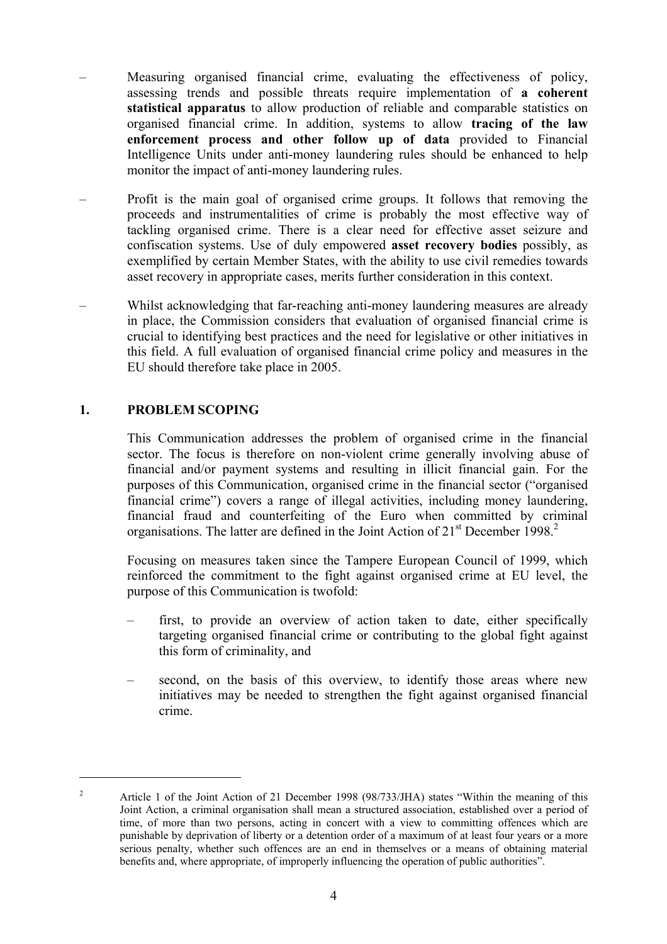- Measuring organised financial crime, evaluating the effectiveness of policy, assessing trends and possible threats require implementation of **a coherent statistical apparatus** to allow production of reliable and comparable statistics on organised financial crime. In addition, systems to allow **tracing of the law enforcement process and other follow up of data** provided to Financial Intelligence Units under anti-money laundering rules should be enhanced to help monitor the impact of anti-money laundering rules.
- Profit is the main goal of organised crime groups. It follows that removing the proceeds and instrumentalities of crime is probably the most effective way of tackling organised crime. There is a clear need for effective asset seizure and confiscation systems. Use of duly empowered **asset recovery bodies** possibly, as exemplified by certain Member States, with the ability to use civil remedies towards asset recovery in appropriate cases, merits further consideration in this context.
- Whilst acknowledging that far-reaching anti-money laundering measures are already in place, the Commission considers that evaluation of organised financial crime is crucial to identifying best practices and the need for legislative or other initiatives in this field. A full evaluation of organised financial crime policy and measures in the EU should therefore take place in 2005.

## **1. PROBLEM SCOPING**

 $\overline{a}$ 

This Communication addresses the problem of organised crime in the financial sector. The focus is therefore on non-violent crime generally involving abuse of financial and/or payment systems and resulting in illicit financial gain. For the purposes of this Communication, organised crime in the financial sector ("organised financial crime") covers a range of illegal activities, including money laundering, financial fraud and counterfeiting of the Euro when committed by criminal organisations. The latter are defined in the Joint Action of  $21<sup>st</sup>$  December 1998.<sup>2</sup>

Focusing on measures taken since the Tampere European Council of 1999, which reinforced the commitment to the fight against organised crime at EU level, the purpose of this Communication is twofold:

- first, to provide an overview of action taken to date, either specifically targeting organised financial crime or contributing to the global fight against this form of criminality, and
- second, on the basis of this overview, to identify those areas where new initiatives may be needed to strengthen the fight against organised financial crime.

<sup>2</sup> Article 1 of the Joint Action of 21 December 1998 (98/733/JHA) states "Within the meaning of this Joint Action, a criminal organisation shall mean a structured association, established over a period of time, of more than two persons, acting in concert with a view to committing offences which are punishable by deprivation of liberty or a detention order of a maximum of at least four years or a more serious penalty, whether such offences are an end in themselves or a means of obtaining material benefits and, where appropriate, of improperly influencing the operation of public authorities".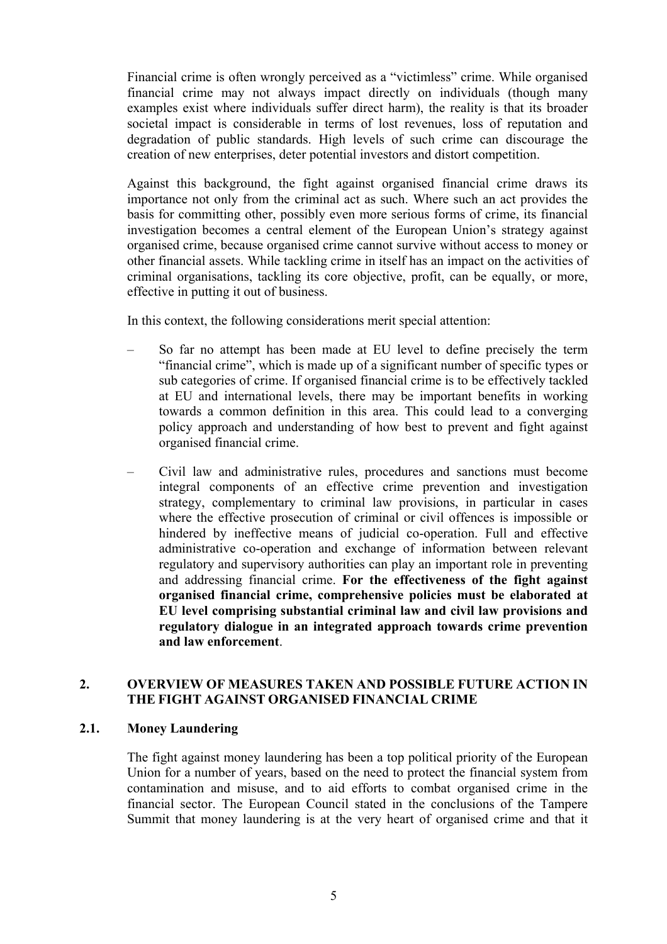Financial crime is often wrongly perceived as a "victimless" crime. While organised financial crime may not always impact directly on individuals (though many examples exist where individuals suffer direct harm), the reality is that its broader societal impact is considerable in terms of lost revenues, loss of reputation and degradation of public standards. High levels of such crime can discourage the creation of new enterprises, deter potential investors and distort competition.

Against this background, the fight against organised financial crime draws its importance not only from the criminal act as such. Where such an act provides the basis for committing other, possibly even more serious forms of crime, its financial investigation becomes a central element of the European Union's strategy against organised crime, because organised crime cannot survive without access to money or other financial assets. While tackling crime in itself has an impact on the activities of criminal organisations, tackling its core objective, profit, can be equally, or more, effective in putting it out of business.

In this context, the following considerations merit special attention:

- So far no attempt has been made at EU level to define precisely the term "financial crime", which is made up of a significant number of specific types or sub categories of crime. If organised financial crime is to be effectively tackled at EU and international levels, there may be important benefits in working towards a common definition in this area. This could lead to a converging policy approach and understanding of how best to prevent and fight against organised financial crime.
- Civil law and administrative rules, procedures and sanctions must become integral components of an effective crime prevention and investigation strategy, complementary to criminal law provisions, in particular in cases where the effective prosecution of criminal or civil offences is impossible or hindered by ineffective means of judicial co-operation. Full and effective administrative co-operation and exchange of information between relevant regulatory and supervisory authorities can play an important role in preventing and addressing financial crime. **For the effectiveness of the fight against organised financial crime, comprehensive policies must be elaborated at EU level comprising substantial criminal law and civil law provisions and regulatory dialogue in an integrated approach towards crime prevention and law enforcement**.

## **2. OVERVIEW OF MEASURES TAKEN AND POSSIBLE FUTURE ACTION IN THE FIGHT AGAINST ORGANISED FINANCIAL CRIME**

#### **2.1. Money Laundering**

The fight against money laundering has been a top political priority of the European Union for a number of years, based on the need to protect the financial system from contamination and misuse, and to aid efforts to combat organised crime in the financial sector. The European Council stated in the conclusions of the Tampere Summit that money laundering is at the very heart of organised crime and that it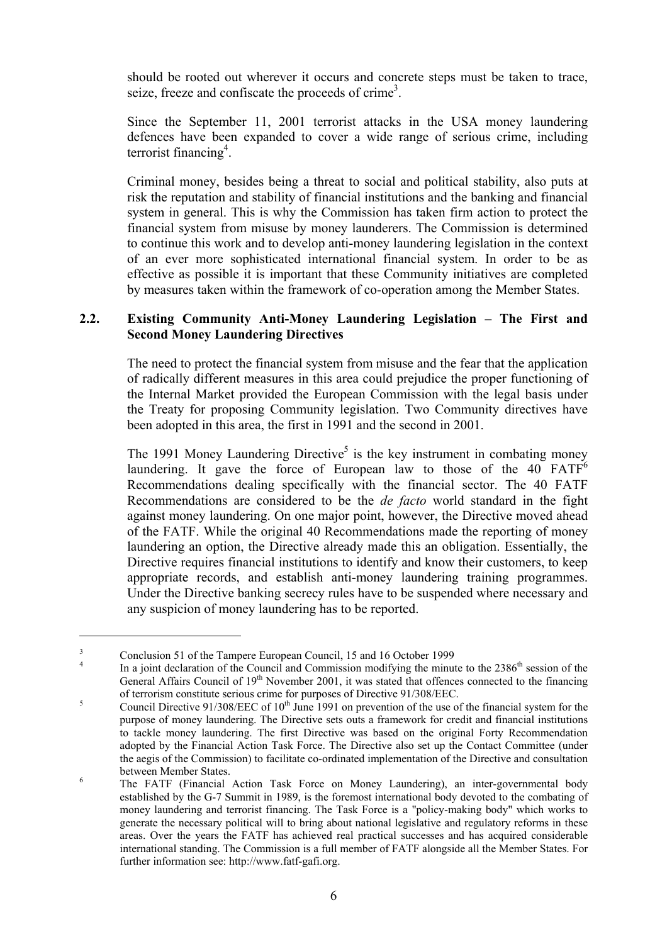should be rooted out wherever it occurs and concrete steps must be taken to trace, seize, freeze and confiscate the proceeds of crime<sup>3</sup>.

Since the September 11, 2001 terrorist attacks in the USA money laundering defences have been expanded to cover a wide range of serious crime, including terrorist financing<sup>4</sup>.

Criminal money, besides being a threat to social and political stability, also puts at risk the reputation and stability of financial institutions and the banking and financial system in general. This is why the Commission has taken firm action to protect the financial system from misuse by money launderers. The Commission is determined to continue this work and to develop anti-money laundering legislation in the context of an ever more sophisticated international financial system. In order to be as effective as possible it is important that these Community initiatives are completed by measures taken within the framework of co-operation among the Member States.

## **2.2. Existing Community Anti-Money Laundering Legislation – The First and Second Money Laundering Directives**

The need to protect the financial system from misuse and the fear that the application of radically different measures in this area could prejudice the proper functioning of the Internal Market provided the European Commission with the legal basis under the Treaty for proposing Community legislation. Two Community directives have been adopted in this area, the first in 1991 and the second in 2001.

The 1991 Money Laundering Directive<sup>5</sup> is the key instrument in combating money laundering. It gave the force of European law to those of the 40  $FATF<sup>6</sup>$ Recommendations dealing specifically with the financial sector. The 40 FATF Recommendations are considered to be the *de facto* world standard in the fight against money laundering. On one major point, however, the Directive moved ahead of the FATF. While the original 40 Recommendations made the reporting of money laundering an option, the Directive already made this an obligation. Essentially, the Directive requires financial institutions to identify and know their customers, to keep appropriate records, and establish anti-money laundering training programmes. Under the Directive banking secrecy rules have to be suspended where necessary and any suspicion of money laundering has to be reported.

<sup>3</sup> Conclusion 51 of the Tampere European Council, 15 and 16 October 1999

<sup>4</sup> In a joint declaration of the Council and Commission modifying the minute to the 2386<sup>th</sup> session of the General Affairs Council of 19<sup>th</sup> November 2001, it was stated that offences connected to the financing of terrorism constitute serious crime for purposes of Directive 91/308/EEC.

Council Directive 91/308/EEC of 10<sup>th</sup> June 1991 on prevention of the use of the financial system for the purpose of money laundering. The Directive sets outs a framework for credit and financial institutions to tackle money laundering. The first Directive was based on the original Forty Recommendation adopted by the Financial Action Task Force. The Directive also set up the Contact Committee (under the aegis of the Commission) to facilitate co-ordinated implementation of the Directive and consultation between Member States.

The FATF (Financial Action Task Force on Money Laundering), an inter-governmental body established by the G-7 Summit in 1989, is the foremost international body devoted to the combating of money laundering and terrorist financing. The Task Force is a "policy-making body" which works to generate the necessary political will to bring about national legislative and regulatory reforms in these areas. Over the years the FATF has achieved real practical successes and has acquired considerable international standing. The Commission is a full member of FATF alongside all the Member States. For further information see: http://www.fatf-gafi.org.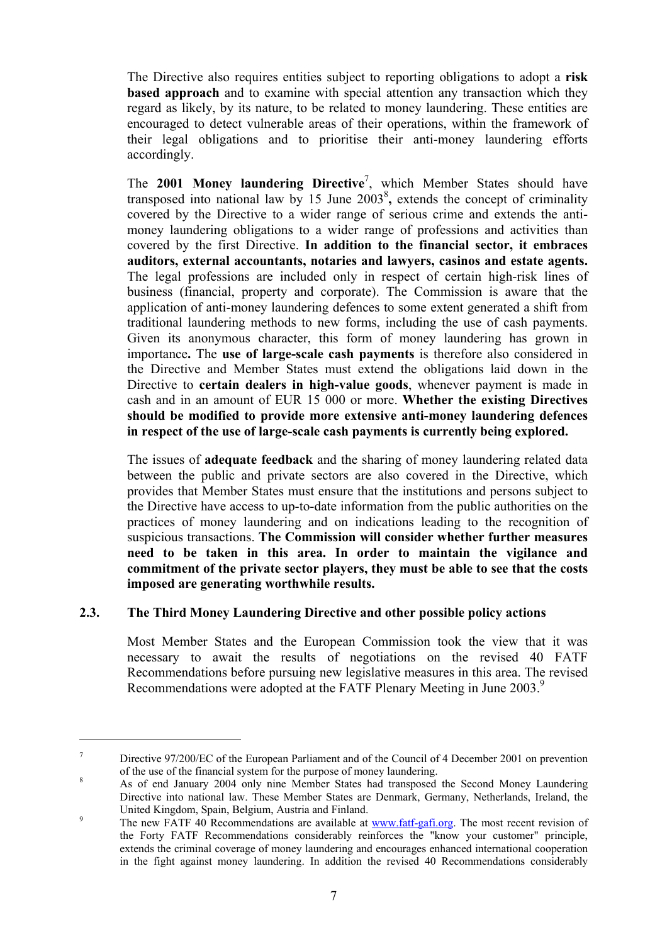The Directive also requires entities subject to reporting obligations to adopt a **risk based approach** and to examine with special attention any transaction which they regard as likely, by its nature, to be related to money laundering. These entities are encouraged to detect vulnerable areas of their operations, within the framework of their legal obligations and to prioritise their anti-money laundering efforts accordingly.

The **2001 Money laundering Directive**<sup>7</sup> , which Member States should have transposed into national law by 15 June  $2003^8$ , extends the concept of criminality covered by the Directive to a wider range of serious crime and extends the antimoney laundering obligations to a wider range of professions and activities than covered by the first Directive. **In addition to the financial sector, it embraces auditors, external accountants, notaries and lawyers, casinos and estate agents.**  The legal professions are included only in respect of certain high-risk lines of business (financial, property and corporate). The Commission is aware that the application of anti-money laundering defences to some extent generated a shift from traditional laundering methods to new forms, including the use of cash payments. Given its anonymous character, this form of money laundering has grown in importance**.** The **use of large-scale cash payments** is therefore also considered in the Directive and Member States must extend the obligations laid down in the Directive to **certain dealers in high-value goods**, whenever payment is made in cash and in an amount of EUR 15 000 or more. **Whether the existing Directives should be modified to provide more extensive anti-money laundering defences in respect of the use of large-scale cash payments is currently being explored.** 

The issues of **adequate feedback** and the sharing of money laundering related data between the public and private sectors are also covered in the Directive, which provides that Member States must ensure that the institutions and persons subject to the Directive have access to up-to-date information from the public authorities on the practices of money laundering and on indications leading to the recognition of suspicious transactions. **The Commission will consider whether further measures need to be taken in this area. In order to maintain the vigilance and commitment of the private sector players, they must be able to see that the costs imposed are generating worthwhile results.** 

## **2.3. The Third Money Laundering Directive and other possible policy actions**

 $\overline{a}$ 

Most Member States and the European Commission took the view that it was necessary to await the results of negotiations on the revised 40 FATF Recommendations before pursuing new legislative measures in this area. The revised Recommendations were adopted at the FATF Plenary Meeting in June 2003.<sup>9</sup>

<sup>7</sup> Directive 97/200/EC of the European Parliament and of the Council of 4 December 2001 on prevention of the use of the financial system for the purpose of money laundering.

As of end January 2004 only nine Member States had transposed the Second Money Laundering Directive into national law. These Member States are Denmark, Germany, Netherlands, Ireland, the United Kingdom, Spain, Belgium, Austria and Finland.

The new FATF 40 Recommendations are available at www.fatf-gafi.org. The most recent revision of the Forty FATF Recommendations considerably reinforces the "know your customer" principle, extends the criminal coverage of money laundering and encourages enhanced international cooperation in the fight against money laundering. In addition the revised 40 Recommendations considerably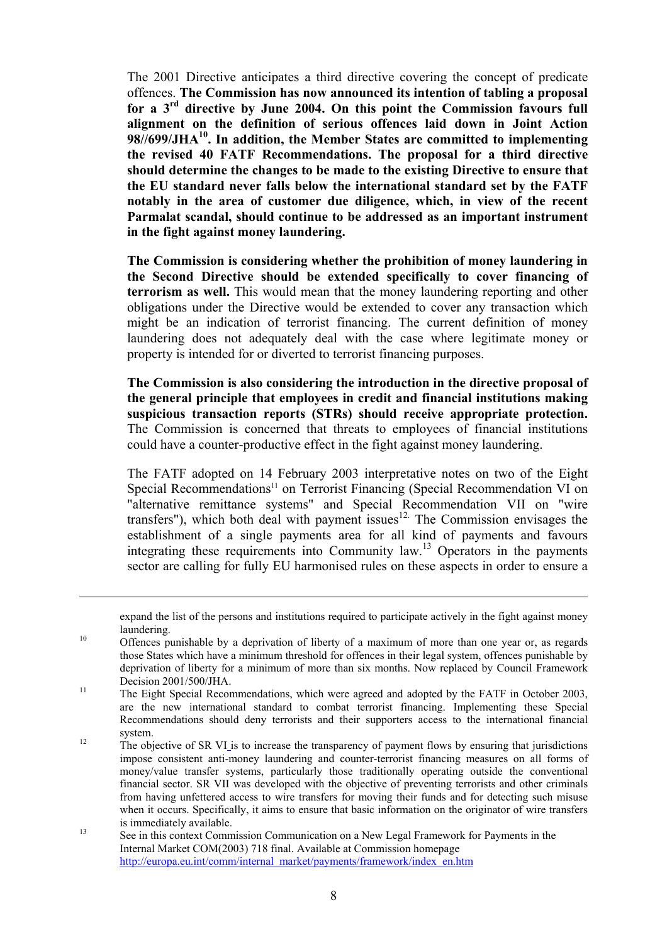The 2001 Directive anticipates a third directive covering the concept of predicate offences. **The Commission has now announced its intention of tabling a proposal for a 3rd directive by June 2004. On this point the Commission favours full alignment on the definition of serious offences laid down in Joint Action 98//699/JHA10. In addition, the Member States are committed to implementing the revised 40 FATF Recommendations. The proposal for a third directive should determine the changes to be made to the existing Directive to ensure that the EU standard never falls below the international standard set by the FATF notably in the area of customer due diligence, which, in view of the recent Parmalat scandal, should continue to be addressed as an important instrument in the fight against money laundering.** 

**The Commission is considering whether the prohibition of money laundering in the Second Directive should be extended specifically to cover financing of terrorism as well.** This would mean that the money laundering reporting and other obligations under the Directive would be extended to cover any transaction which might be an indication of terrorist financing. The current definition of money laundering does not adequately deal with the case where legitimate money or property is intended for or diverted to terrorist financing purposes.

**The Commission is also considering the introduction in the directive proposal of the general principle that employees in credit and financial institutions making suspicious transaction reports (STRs) should receive appropriate protection.**  The Commission is concerned that threats to employees of financial institutions could have a counter-productive effect in the fight against money laundering.

The FATF adopted on 14 February 2003 interpretative notes on two of the Eight Special Recommendations<sup>11</sup> on Terrorist Financing (Special Recommendation VI on "alternative remittance systems" and Special Recommendation VII on "wire transfers"), which both deal with payment issues $12$ . The Commission envisages the establishment of a single payments area for all kind of payments and favours integrating these requirements into Community  $\text{law}^{13}$  Operators in the payments sector are calling for fully EU harmonised rules on these aspects in order to ensure a

expand the list of the persons and institutions required to participate actively in the fight against money

laundering.<br><sup>10</sup> Offences punishable by a deprivation of liberty of a maximum of more than one year or, as regards those States which have a minimum threshold for offences in their legal system, offences punishable by deprivation of liberty for a minimum of more than six months. Now replaced by Council Framework Decision 2001/500/JHA.<br><sup>11</sup> The Eight Special Recommendations, which were agreed and adopted by the FATF in October 2003,

are the new international standard to combat terrorist financing. Implementing these Special Recommendations should deny terrorists and their supporters access to the international financial system.<br>The objective of SR VI is to increase the transparency of payment flows by ensuring that jurisdictions

impose consistent anti-money laundering and counter-terrorist financing measures on all forms of money/value transfer systems, particularly those traditionally operating outside the conventional financial sector. SR VII was developed with the objective of preventing terrorists and other criminals from having unfettered access to wire transfers for moving their funds and for detecting such misuse when it occurs. Specifically, it aims to ensure that basic information on the originator of wire transfers

<sup>&</sup>lt;sup>13</sup> is immediately available.<br>See in this context Commission Communication on a New Legal Framework for Payments in the Internal Market COM(2003) 718 final. Available at Commission homepage http://europa.eu.int/comm/internal\_market/payments/framework/index\_en.htm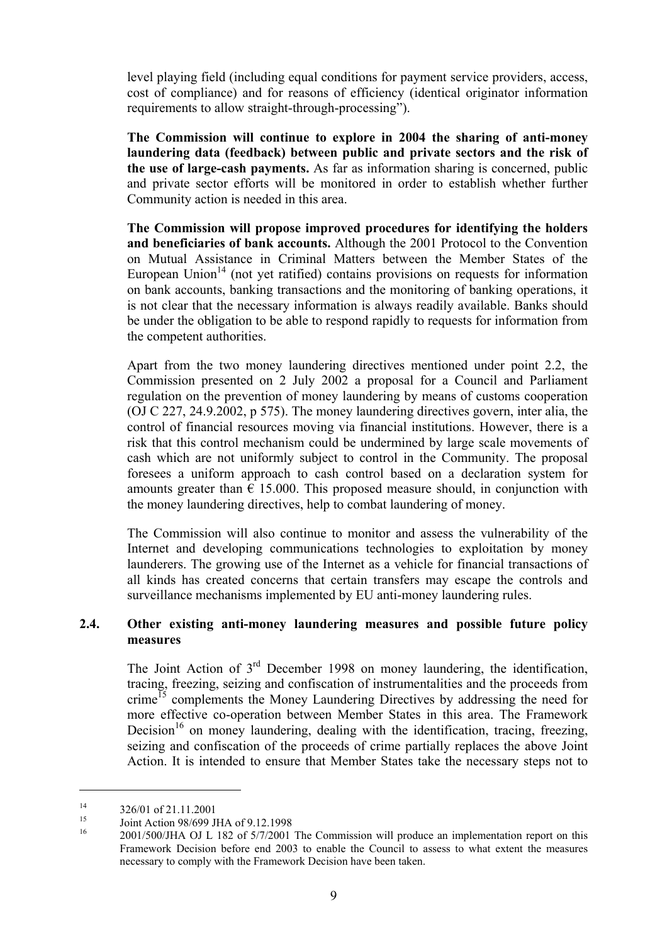level playing field (including equal conditions for payment service providers, access, cost of compliance) and for reasons of efficiency (identical originator information requirements to allow straight-through-processing").

**The Commission will continue to explore in 2004 the sharing of anti-money laundering data (feedback) between public and private sectors and the risk of the use of large-cash payments.** As far as information sharing is concerned, public and private sector efforts will be monitored in order to establish whether further Community action is needed in this area.

**The Commission will propose improved procedures for identifying the holders and beneficiaries of bank accounts.** Although the 2001 Protocol to the Convention on Mutual Assistance in Criminal Matters between the Member States of the European Union<sup>14</sup> (not yet ratified) contains provisions on requests for information on bank accounts, banking transactions and the monitoring of banking operations, it is not clear that the necessary information is always readily available. Banks should be under the obligation to be able to respond rapidly to requests for information from the competent authorities.

Apart from the two money laundering directives mentioned under point 2.2, the Commission presented on 2 July 2002 a proposal for a Council and Parliament regulation on the prevention of money laundering by means of customs cooperation (OJ C 227, 24.9.2002, p 575). The money laundering directives govern, inter alia, the control of financial resources moving via financial institutions. However, there is a risk that this control mechanism could be undermined by large scale movements of cash which are not uniformly subject to control in the Community. The proposal foresees a uniform approach to cash control based on a declaration system for amounts greater than  $\epsilon$  15.000. This proposed measure should, in conjunction with the money laundering directives, help to combat laundering of money.

The Commission will also continue to monitor and assess the vulnerability of the Internet and developing communications technologies to exploitation by money launderers. The growing use of the Internet as a vehicle for financial transactions of all kinds has created concerns that certain transfers may escape the controls and surveillance mechanisms implemented by EU anti-money laundering rules.

#### **2.4. Other existing anti-money laundering measures and possible future policy measures**

The Joint Action of  $3<sup>rd</sup>$  December 1998 on money laundering, the identification, tracing, freezing, seizing and confiscation of instrumentalities and the proceeds from crime<sup>15</sup> complements the Money Laundering Directives by addressing the need for more effective co-operation between Member States in this area. The Framework Decision<sup>16</sup> on money laundering, dealing with the identification, tracing, freezing, seizing and confiscation of the proceeds of crime partially replaces the above Joint Action. It is intended to ensure that Member States take the necessary steps not to

 $\frac{14}{15}$  326/01 of 21.11.2001

<sup>&</sup>lt;sup>15</sup> Joint Action 98/699 JHA of 9.12.1998

<sup>16 2001/500/</sup>JHA OJ L 182 of 5/7/2001 The Commission will produce an implementation report on this Framework Decision before end 2003 to enable the Council to assess to what extent the measures necessary to comply with the Framework Decision have been taken.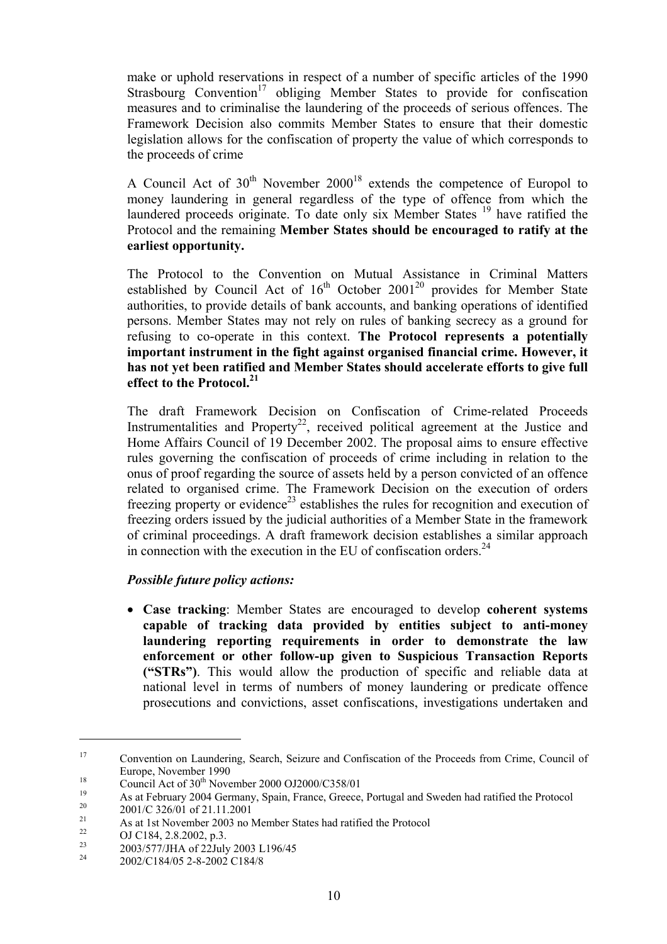make or uphold reservations in respect of a number of specific articles of the 1990 Strasbourg Convention<sup>17</sup> obliging Member States to provide for confiscation measures and to criminalise the laundering of the proceeds of serious offences. The Framework Decision also commits Member States to ensure that their domestic legislation allows for the confiscation of property the value of which corresponds to the proceeds of crime

A Council Act of  $30<sup>th</sup>$  November  $2000<sup>18</sup>$  extends the competence of Europol to money laundering in general regardless of the type of offence from which the laundered proceeds originate. To date only six Member States <sup>19</sup> have ratified the Protocol and the remaining **Member States should be encouraged to ratify at the earliest opportunity.** 

The Protocol to the Convention on Mutual Assistance in Criminal Matters established by Council Act of  $16<sup>th</sup>$  October 2001<sup>20</sup> provides for Member State authorities, to provide details of bank accounts, and banking operations of identified persons. Member States may not rely on rules of banking secrecy as a ground for refusing to co-operate in this context. **The Protocol represents a potentially important instrument in the fight against organised financial crime. However, it has not yet been ratified and Member States should accelerate efforts to give full effect to the Protocol.21** 

The draft Framework Decision on Confiscation of Crime-related Proceeds Instrumentalities and Property<sup>22</sup>, received political agreement at the Justice and Home Affairs Council of 19 December 2002. The proposal aims to ensure effective rules governing the confiscation of proceeds of crime including in relation to the onus of proof regarding the source of assets held by a person convicted of an offence related to organised crime. The Framework Decision on the execution of orders freezing property or evidence<sup>23</sup> establishes the rules for recognition and execution of freezing orders issued by the judicial authorities of a Member State in the framework of criminal proceedings. A draft framework decision establishes a similar approach in connection with the execution in the EU of confiscation orders. $^{24}$ 

## *Possible future policy actions:*

• **Case tracking**: Member States are encouraged to develop **coherent systems capable of tracking data provided by entities subject to anti-money laundering reporting requirements in order to demonstrate the law enforcement or other follow-up given to Suspicious Transaction Reports ("STRs")**. This would allow the production of specific and reliable data at national level in terms of numbers of money laundering or predicate offence prosecutions and convictions, asset confiscations, investigations undertaken and

<sup>17</sup> Convention on Laundering, Search, Seizure and Confiscation of the Proceeds from Crime, Council of Europe, November 1990<br>
Council Act of 30<sup>th</sup> November 2000 OJ2000/C358/01<br>
As at February 2004 Germany, Spain, France, Greece, Portugal and Sweden had ratified the Protocol<br>
2001/C 326/01 of 21.11.2001

<sup>&</sup>lt;sup>21</sup> As at 1st November 2003 no Member States had ratified the Protocol

<sup>&</sup>lt;sup>22</sup> OJ C184, 2.8.2002, p.3.

<sup>&</sup>lt;sup>23</sup> 2003/577/JHA of 22July 2003 L196/45

<sup>24 2002/</sup>C184/05 2-8-2002 C184/8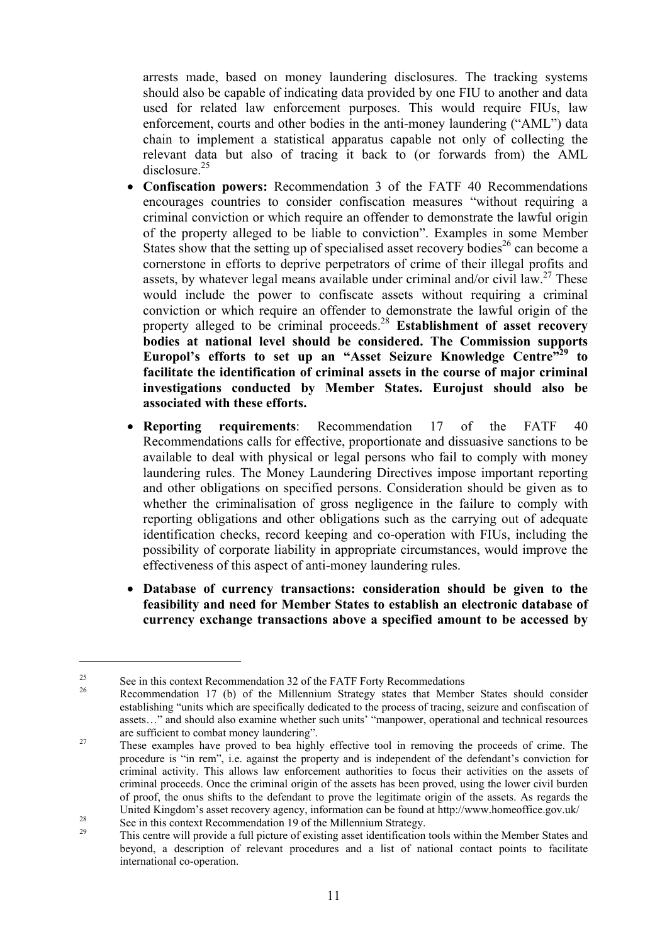arrests made, based on money laundering disclosures. The tracking systems should also be capable of indicating data provided by one FIU to another and data used for related law enforcement purposes. This would require FIUs, law enforcement, courts and other bodies in the anti-money laundering ("AML") data chain to implement a statistical apparatus capable not only of collecting the relevant data but also of tracing it back to (or forwards from) the AML  $disclosure<sup>25</sup>$ 

- **Confiscation powers:** Recommendation 3 of the FATF 40 Recommendations encourages countries to consider confiscation measures "without requiring a criminal conviction or which require an offender to demonstrate the lawful origin of the property alleged to be liable to conviction". Examples in some Member States show that the setting up of specialised asset recovery bodies<sup>26</sup> can become a cornerstone in efforts to deprive perpetrators of crime of their illegal profits and assets, by whatever legal means available under criminal and/or civil law.<sup>27</sup> These would include the power to confiscate assets without requiring a criminal conviction or which require an offender to demonstrate the lawful origin of the property alleged to be criminal proceeds.<sup>28</sup> **Establishment of asset recovery bodies at national level should be considered. The Commission supports Europol's efforts to set up an "Asset Seizure Knowledge Centre"29 to facilitate the identification of criminal assets in the course of major criminal investigations conducted by Member States. Eurojust should also be associated with these efforts.**
- **Reporting requirements:** Recommendation 17 of the FATF 40 Recommendations calls for effective, proportionate and dissuasive sanctions to be available to deal with physical or legal persons who fail to comply with money laundering rules. The Money Laundering Directives impose important reporting and other obligations on specified persons. Consideration should be given as to whether the criminalisation of gross negligence in the failure to comply with reporting obligations and other obligations such as the carrying out of adequate identification checks, record keeping and co-operation with FIUs, including the possibility of corporate liability in appropriate circumstances, would improve the effectiveness of this aspect of anti-money laundering rules.
- **Database of currency transactions: consideration should be given to the feasibility and need for Member States to establish an electronic database of currency exchange transactions above a specified amount to be accessed by**

<sup>&</sup>lt;sup>25</sup> See in this context Recommendation 32 of the FATF Forty Recommedations<br><sup>26</sup> Recommendation 17 (b) of the Millennium Strategy states that Member States should consider establishing "units which are specifically dedicated to the process of tracing, seizure and confiscation of assets…" and should also examine whether such units' "manpower, operational and technical resources are sufficient to combat money laundering".<br><sup>27</sup> These examples have proved to bea highly effective tool in removing the proceeds of crime. The

procedure is "in rem", i.e. against the property and is independent of the defendant's conviction for criminal activity. This allows law enforcement authorities to focus their activities on the assets of criminal proceeds. Once the criminal origin of the assets has been proved, using the lower civil burden of proof, the onus shifts to the defendant to prove the legitimate origin of the assets. As regards the United Kingdom's asset recovery agency, information can be found at http://www.homeoffice.gov.uk/<br>
See in this context Recommendation 19 of the Millennium Strategy.

This centre will provide a full picture of existing asset identification tools within the Member States and beyond, a description of relevant procedures and a list of national contact points to facilitate international co-operation.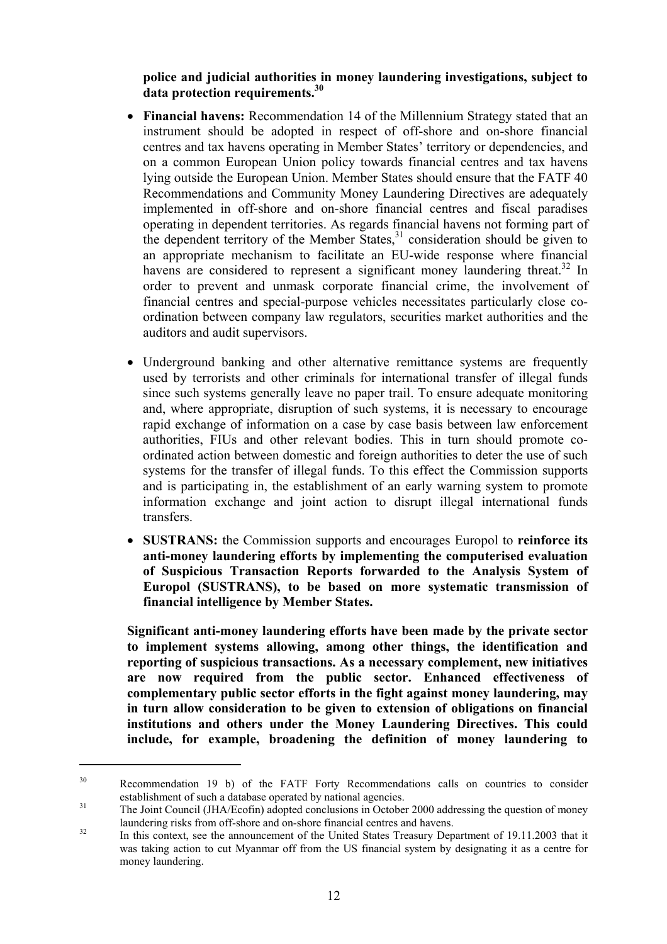**police and judicial authorities in money laundering investigations, subject to data protection requirements.30** 

- **Financial havens:** Recommendation 14 of the Millennium Strategy stated that an instrument should be adopted in respect of off-shore and on-shore financial centres and tax havens operating in Member States' territory or dependencies, and on a common European Union policy towards financial centres and tax havens lying outside the European Union. Member States should ensure that the FATF 40 Recommendations and Community Money Laundering Directives are adequately implemented in off-shore and on-shore financial centres and fiscal paradises operating in dependent territories. As regards financial havens not forming part of the dependent territory of the Member States,  $31$  consideration should be given to an appropriate mechanism to facilitate an EU-wide response where financial havens are considered to represent a significant money laundering threat.<sup>32</sup> In order to prevent and unmask corporate financial crime, the involvement of financial centres and special-purpose vehicles necessitates particularly close coordination between company law regulators, securities market authorities and the auditors and audit supervisors.
- Underground banking and other alternative remittance systems are frequently used by terrorists and other criminals for international transfer of illegal funds since such systems generally leave no paper trail. To ensure adequate monitoring and, where appropriate, disruption of such systems, it is necessary to encourage rapid exchange of information on a case by case basis between law enforcement authorities, FIUs and other relevant bodies. This in turn should promote coordinated action between domestic and foreign authorities to deter the use of such systems for the transfer of illegal funds. To this effect the Commission supports and is participating in, the establishment of an early warning system to promote information exchange and joint action to disrupt illegal international funds transfers.
- **SUSTRANS:** the Commission supports and encourages Europol to **reinforce its anti-money laundering efforts by implementing the computerised evaluation of Suspicious Transaction Reports forwarded to the Analysis System of Europol (SUSTRANS), to be based on more systematic transmission of financial intelligence by Member States.**

**Significant anti-money laundering efforts have been made by the private sector to implement systems allowing, among other things, the identification and reporting of suspicious transactions. As a necessary complement, new initiatives are now required from the public sector. Enhanced effectiveness of complementary public sector efforts in the fight against money laundering, may in turn allow consideration to be given to extension of obligations on financial institutions and others under the Money Laundering Directives. This could include, for example, broadening the definition of money laundering to** 

<sup>&</sup>lt;sup>30</sup> Recommendation 19 b) of the FATF Forty Recommendations calls on countries to consider establishment of such a database operated by national agencies.<br><sup>31</sup> The Joint Council (JHA/Ecofin) adopted conclusions in October 2000 addressing the question of money

<sup>&</sup>lt;sup>32</sup> In this context, see the announcement of the United States Treasury Department of 19.11.2003 that it

was taking action to cut Myanmar off from the US financial system by designating it as a centre for money laundering.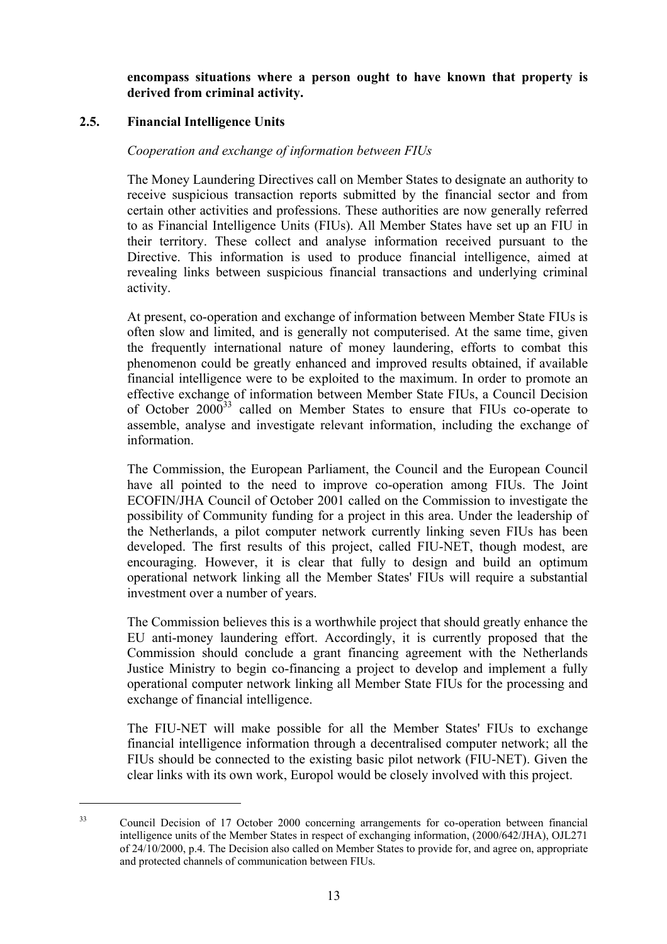**encompass situations where a person ought to have known that property is derived from criminal activity.** 

## **2.5. Financial Intelligence Units**

 $\overline{a}$ 

#### *Cooperation and exchange of information between FIUs*

The Money Laundering Directives call on Member States to designate an authority to receive suspicious transaction reports submitted by the financial sector and from certain other activities and professions. These authorities are now generally referred to as Financial Intelligence Units (FIUs). All Member States have set up an FIU in their territory. These collect and analyse information received pursuant to the Directive. This information is used to produce financial intelligence, aimed at revealing links between suspicious financial transactions and underlying criminal activity.

At present, co-operation and exchange of information between Member State FIUs is often slow and limited, and is generally not computerised. At the same time, given the frequently international nature of money laundering, efforts to combat this phenomenon could be greatly enhanced and improved results obtained, if available financial intelligence were to be exploited to the maximum. In order to promote an effective exchange of information between Member State FIUs, a Council Decision of October  $2000^{33}$  called on Member States to ensure that FIUs co-operate to assemble, analyse and investigate relevant information, including the exchange of information.

The Commission, the European Parliament, the Council and the European Council have all pointed to the need to improve co-operation among FIUs. The Joint ECOFIN/JHA Council of October 2001 called on the Commission to investigate the possibility of Community funding for a project in this area. Under the leadership of the Netherlands, a pilot computer network currently linking seven FIUs has been developed. The first results of this project, called FIU-NET, though modest, are encouraging. However, it is clear that fully to design and build an optimum operational network linking all the Member States' FIUs will require a substantial investment over a number of years.

The Commission believes this is a worthwhile project that should greatly enhance the EU anti-money laundering effort. Accordingly, it is currently proposed that the Commission should conclude a grant financing agreement with the Netherlands Justice Ministry to begin co-financing a project to develop and implement a fully operational computer network linking all Member State FIUs for the processing and exchange of financial intelligence.

The FIU-NET will make possible for all the Member States' FIUs to exchange financial intelligence information through a decentralised computer network; all the FIUs should be connected to the existing basic pilot network (FIU-NET). Given the clear links with its own work, Europol would be closely involved with this project.

<sup>&</sup>lt;sup>33</sup> Council Decision of 17 October 2000 concerning arrangements for co-operation between financial intelligence units of the Member States in respect of exchanging information, (2000/642/JHA), OJL271 of 24/10/2000, p.4. The Decision also called on Member States to provide for, and agree on, appropriate and protected channels of communication between FIUs.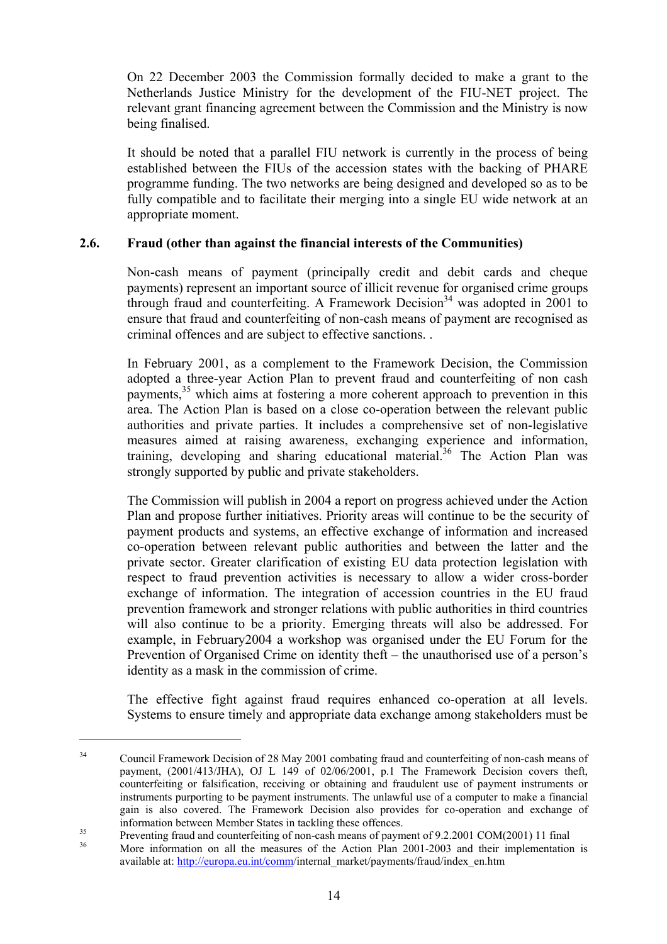On 22 December 2003 the Commission formally decided to make a grant to the Netherlands Justice Ministry for the development of the FIU-NET project. The relevant grant financing agreement between the Commission and the Ministry is now being finalised.

It should be noted that a parallel FIU network is currently in the process of being established between the FIUs of the accession states with the backing of PHARE programme funding. The two networks are being designed and developed so as to be fully compatible and to facilitate their merging into a single EU wide network at an appropriate moment.

## **2.6. Fraud (other than against the financial interests of the Communities)**

Non-cash means of payment (principally credit and debit cards and cheque payments) represent an important source of illicit revenue for organised crime groups through fraud and counterfeiting. A Framework Decision<sup>34</sup> was adopted in 2001 to ensure that fraud and counterfeiting of non-cash means of payment are recognised as criminal offences and are subject to effective sanctions. .

In February 2001, as a complement to the Framework Decision, the Commission adopted a three-year Action Plan to prevent fraud and counterfeiting of non cash payments,<sup>35</sup> which aims at fostering a more coherent approach to prevention in this area. The Action Plan is based on a close co-operation between the relevant public authorities and private parties. It includes a comprehensive set of non-legislative measures aimed at raising awareness, exchanging experience and information, training, developing and sharing educational material.<sup>36</sup> The Action Plan was strongly supported by public and private stakeholders.

The Commission will publish in 2004 a report on progress achieved under the Action Plan and propose further initiatives. Priority areas will continue to be the security of payment products and systems, an effective exchange of information and increased co-operation between relevant public authorities and between the latter and the private sector. Greater clarification of existing EU data protection legislation with respect to fraud prevention activities is necessary to allow a wider cross-border exchange of information. The integration of accession countries in the EU fraud prevention framework and stronger relations with public authorities in third countries will also continue to be a priority. Emerging threats will also be addressed. For example, in February2004 a workshop was organised under the EU Forum for the Prevention of Organised Crime on identity theft – the unauthorised use of a person's identity as a mask in the commission of crime.

The effective fight against fraud requires enhanced co-operation at all levels. Systems to ensure timely and appropriate data exchange among stakeholders must be

<sup>&</sup>lt;sup>34</sup> Council Framework Decision of 28 May 2001 combating fraud and counterfeiting of non-cash means of payment, (2001/413/JHA), OJ L 149 of 02/06/2001, p.1 The Framework Decision covers theft, counterfeiting or falsification, receiving or obtaining and fraudulent use of payment instruments or instruments purporting to be payment instruments. The unlawful use of a computer to make a financial gain is also covered. The Framework Decision also provides for co-operation and exchange of

information between Member States in tackling these offences.<br><sup>35</sup> Preventing fraud and counterfeiting of non-cash means of payment of 9.2.2001 COM(2001) 11 final

More information on all the measures of the Action Plan 2001-2003 and their implementation is available at: http://europa.eu.int/comm/internal\_market/payments/fraud/index\_en.htm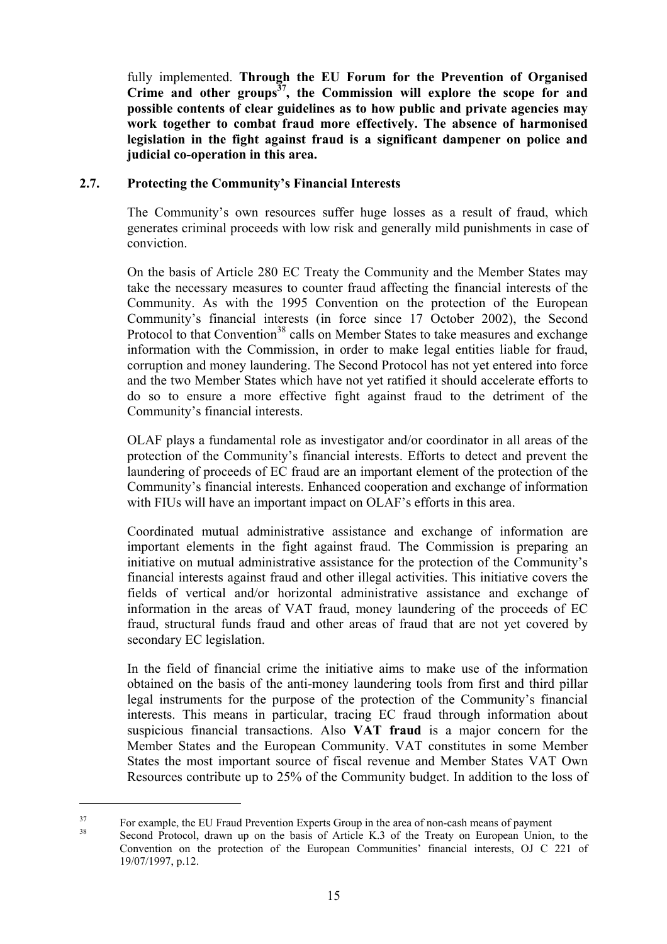fully implemented. **Through the EU Forum for the Prevention of Organised Crime and other groups37, the Commission will explore the scope for and possible contents of clear guidelines as to how public and private agencies may work together to combat fraud more effectively. The absence of harmonised legislation in the fight against fraud is a significant dampener on police and judicial co-operation in this area.** 

#### **2.7. Protecting the Community's Financial Interests**

The Community's own resources suffer huge losses as a result of fraud, which generates criminal proceeds with low risk and generally mild punishments in case of conviction.

On the basis of Article 280 EC Treaty the Community and the Member States may take the necessary measures to counter fraud affecting the financial interests of the Community. As with the 1995 Convention on the protection of the European Community's financial interests (in force since 17 October 2002), the Second Protocol to that Convention<sup>38</sup> calls on Member States to take measures and exchange information with the Commission, in order to make legal entities liable for fraud, corruption and money laundering. The Second Protocol has not yet entered into force and the two Member States which have not yet ratified it should accelerate efforts to do so to ensure a more effective fight against fraud to the detriment of the Community's financial interests.

OLAF plays a fundamental role as investigator and/or coordinator in all areas of the protection of the Community's financial interests. Efforts to detect and prevent the laundering of proceeds of EC fraud are an important element of the protection of the Community's financial interests. Enhanced cooperation and exchange of information with FIUs will have an important impact on OLAF's efforts in this area.

Coordinated mutual administrative assistance and exchange of information are important elements in the fight against fraud. The Commission is preparing an initiative on mutual administrative assistance for the protection of the Community's financial interests against fraud and other illegal activities. This initiative covers the fields of vertical and/or horizontal administrative assistance and exchange of information in the areas of VAT fraud, money laundering of the proceeds of EC fraud, structural funds fraud and other areas of fraud that are not yet covered by secondary EC legislation.

In the field of financial crime the initiative aims to make use of the information obtained on the basis of the anti-money laundering tools from first and third pillar legal instruments for the purpose of the protection of the Community's financial interests. This means in particular, tracing EC fraud through information about suspicious financial transactions. Also **VAT fraud** is a major concern for the Member States and the European Community. VAT constitutes in some Member States the most important source of fiscal revenue and Member States VAT Own Resources contribute up to 25% of the Community budget. In addition to the loss of

<sup>&</sup>lt;sup>37</sup> For example, the EU Fraud Prevention Experts Group in the area of non-cash means of payment<br><sup>38</sup> Second Protocol, drawn up on the basis of Article K.3 of the Treaty on European Union, to the Convention on the protection of the European Communities' financial interests, OJ C 221 of 19/07/1997, p.12.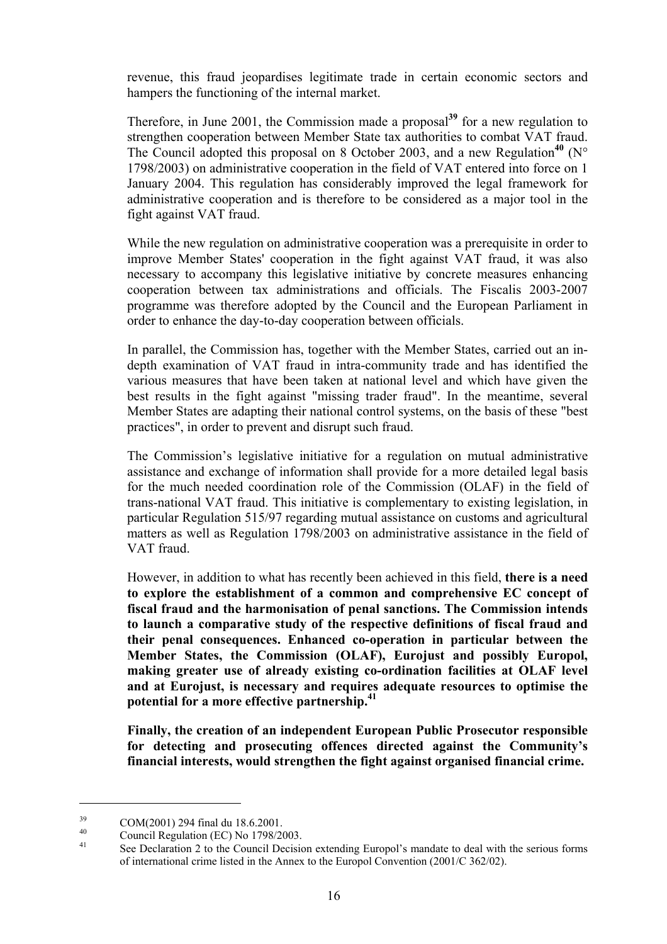revenue, this fraud jeopardises legitimate trade in certain economic sectors and hampers the functioning of the internal market.

Therefore, in June 2001, the Commission made a proposal**<sup>39</sup>** for a new regulation to strengthen cooperation between Member State tax authorities to combat VAT fraud. The Council adopted this proposal on 8 October 2003, and a new Regulation<sup>40</sup> (N° 1798/2003) on administrative cooperation in the field of VAT entered into force on 1 January 2004. This regulation has considerably improved the legal framework for administrative cooperation and is therefore to be considered as a major tool in the fight against VAT fraud.

While the new regulation on administrative cooperation was a prerequisite in order to improve Member States' cooperation in the fight against VAT fraud, it was also necessary to accompany this legislative initiative by concrete measures enhancing cooperation between tax administrations and officials. The Fiscalis 2003-2007 programme was therefore adopted by the Council and the European Parliament in order to enhance the day-to-day cooperation between officials.

In parallel, the Commission has, together with the Member States, carried out an indepth examination of VAT fraud in intra-community trade and has identified the various measures that have been taken at national level and which have given the best results in the fight against "missing trader fraud". In the meantime, several Member States are adapting their national control systems, on the basis of these "best practices", in order to prevent and disrupt such fraud.

The Commission's legislative initiative for a regulation on mutual administrative assistance and exchange of information shall provide for a more detailed legal basis for the much needed coordination role of the Commission (OLAF) in the field of trans-national VAT fraud. This initiative is complementary to existing legislation, in particular Regulation 515/97 regarding mutual assistance on customs and agricultural matters as well as Regulation 1798/2003 on administrative assistance in the field of VAT fraud.

However, in addition to what has recently been achieved in this field, **there is a need to explore the establishment of a common and comprehensive EC concept of fiscal fraud and the harmonisation of penal sanctions. The Commission intends to launch a comparative study of the respective definitions of fiscal fraud and their penal consequences. Enhanced co-operation in particular between the Member States, the Commission (OLAF), Eurojust and possibly Europol, making greater use of already existing co-ordination facilities at OLAF level and at Eurojust, is necessary and requires adequate resources to optimise the potential for a more effective partnership.41**

**Finally, the creation of an independent European Public Prosecutor responsible for detecting and prosecuting offences directed against the Community's financial interests, would strengthen the fight against organised financial crime.** 

 $^{39}$  COM(2001) 294 final du 18.6.2001.

 $^{40}$  Council Regulation (EC) No 1798/2003.

See Declaration 2 to the Council Decision extending Europol's mandate to deal with the serious forms of international crime listed in the Annex to the Europol Convention (2001/C 362/02).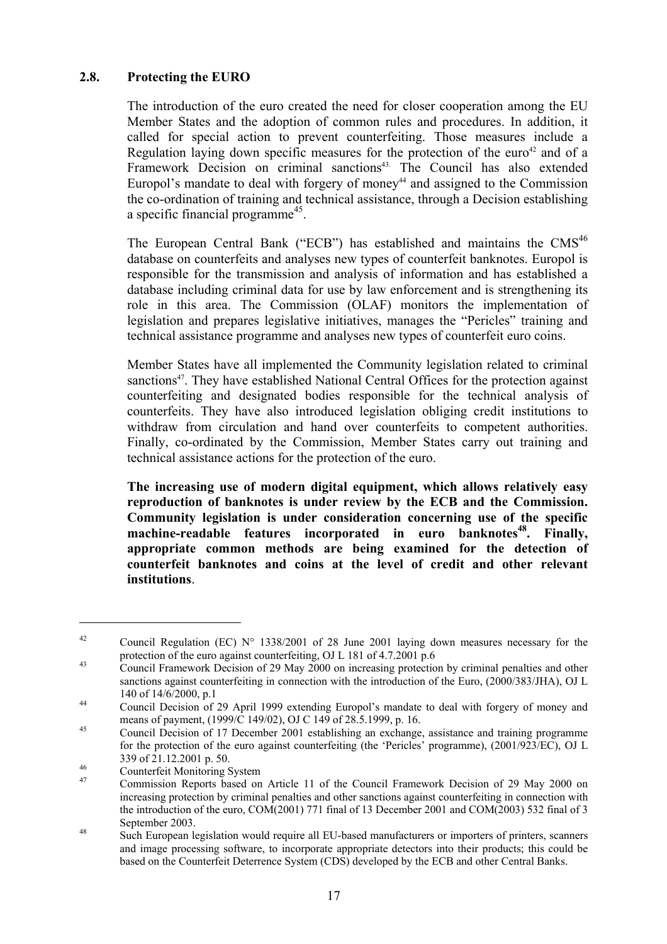## **2.8. Protecting the EURO**

The introduction of the euro created the need for closer cooperation among the EU Member States and the adoption of common rules and procedures. In addition, it called for special action to prevent counterfeiting. Those measures include a Regulation laying down specific measures for the protection of the euro<sup>42</sup> and of a Framework Decision on criminal sanctions<sup>43</sup>. The Council has also extended Europol's mandate to deal with forgery of money $44$  and assigned to the Commission the co-ordination of training and technical assistance, through a Decision establishing a specific financial programme<sup>45</sup>.

The European Central Bank ("ECB") has established and maintains the  $CMS^{46}$ database on counterfeits and analyses new types of counterfeit banknotes. Europol is responsible for the transmission and analysis of information and has established a database including criminal data for use by law enforcement and is strengthening its role in this area. The Commission (OLAF) monitors the implementation of legislation and prepares legislative initiatives, manages the "Pericles" training and technical assistance programme and analyses new types of counterfeit euro coins.

Member States have all implemented the Community legislation related to criminal sanctions<sup>47</sup>. They have established National Central Offices for the protection against counterfeiting and designated bodies responsible for the technical analysis of counterfeits. They have also introduced legislation obliging credit institutions to withdraw from circulation and hand over counterfeits to competent authorities. Finally, co-ordinated by the Commission, Member States carry out training and technical assistance actions for the protection of the euro.

**The increasing use of modern digital equipment, which allows relatively easy reproduction of banknotes is under review by the ECB and the Commission. Community legislation is under consideration concerning use of the specific**  machine-readable features incorporated in euro banknotes<sup>48</sup>. Finally, **appropriate common methods are being examined for the detection of counterfeit banknotes and coins at the level of credit and other relevant institutions**.

<sup>&</sup>lt;sup>42</sup> Council Regulation (EC) N° 1338/2001 of 28 June 2001 laying down measures necessary for the protection of the euro against counterfeiting, OJ L 181 of 4.7.2001 p.6

<sup>&</sup>lt;sup>43</sup> Council Framework Decision of 29 May 2000 on increasing protection by criminal penalties and other sanctions against counterfeiting in connection with the introduction of the Euro, (2000/383/JHA), OJ L 140 of 14/6/2000, p.1<br>
Council Decision of 29 April 1999 extending Europol's mandate to deal with forgery of money and

means of payment, (1999/C 149/02), OJ C 149 of 28.5.1999, p. 16.<br>
Council Decision of 17 December 2001 establishing an exchange, assistance and training programme

for the protection of the euro against counterfeiting (the 'Pericles' programme), (2001/923/EC), OJ L

 $339$  of  $21.12.2001$  p. 50.<br>
Counterfeit Monitoring System<br>  $47$  Commission Bonarts based and

<sup>47</sup> Commission Reports based on Article 11 of the Council Framework Decision of 29 May 2000 on increasing protection by criminal penalties and other sanctions against counterfeiting in connection with the introduction of the euro, COM(2001) 771 final of 13 December 2001 and COM(2003) 532 final of 3

September 2003.<br>
Such European legislation would require all EU-based manufacturers or importers of printers, scanners and image processing software, to incorporate appropriate detectors into their products; this could be based on the Counterfeit Deterrence System (CDS) developed by the ECB and other Central Banks.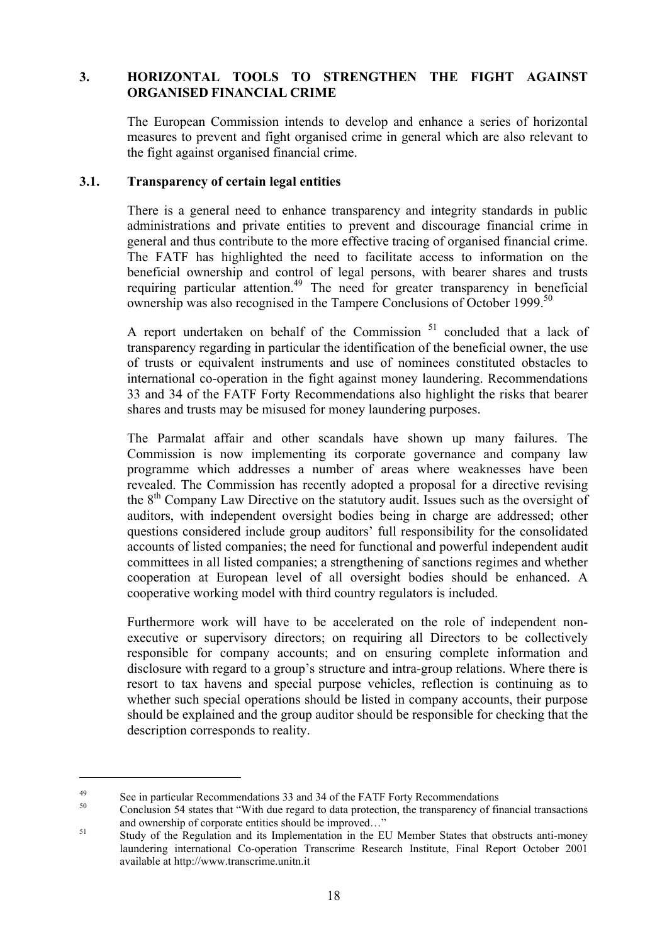## **3. HORIZONTAL TOOLS TO STRENGTHEN THE FIGHT AGAINST ORGANISED FINANCIAL CRIME**

The European Commission intends to develop and enhance a series of horizontal measures to prevent and fight organised crime in general which are also relevant to the fight against organised financial crime.

#### **3.1. Transparency of certain legal entities**

There is a general need to enhance transparency and integrity standards in public administrations and private entities to prevent and discourage financial crime in general and thus contribute to the more effective tracing of organised financial crime. The FATF has highlighted the need to facilitate access to information on the beneficial ownership and control of legal persons, with bearer shares and trusts requiring particular attention.<sup>49</sup> The need for greater transparency in beneficial ownership was also recognised in the Tampere Conclusions of October 1999.<sup>50</sup>

A report undertaken on behalf of the Commission<sup>51</sup> concluded that a lack of transparency regarding in particular the identification of the beneficial owner, the use of trusts or equivalent instruments and use of nominees constituted obstacles to international co-operation in the fight against money laundering. Recommendations 33 and 34 of the FATF Forty Recommendations also highlight the risks that bearer shares and trusts may be misused for money laundering purposes.

The Parmalat affair and other scandals have shown up many failures. The Commission is now implementing its corporate governance and company law programme which addresses a number of areas where weaknesses have been revealed. The Commission has recently adopted a proposal for a directive revising the  $8<sup>th</sup>$  Company Law Directive on the statutory audit. Issues such as the oversight of auditors, with independent oversight bodies being in charge are addressed; other questions considered include group auditors' full responsibility for the consolidated accounts of listed companies; the need for functional and powerful independent audit committees in all listed companies; a strengthening of sanctions regimes and whether cooperation at European level of all oversight bodies should be enhanced. A cooperative working model with third country regulators is included.

Furthermore work will have to be accelerated on the role of independent nonexecutive or supervisory directors; on requiring all Directors to be collectively responsible for company accounts; and on ensuring complete information and disclosure with regard to a group's structure and intra-group relations. Where there is resort to tax havens and special purpose vehicles, reflection is continuing as to whether such special operations should be listed in company accounts, their purpose should be explained and the group auditor should be responsible for checking that the description corresponds to reality.

<sup>&</sup>lt;sup>49</sup> See in particular Recommendations 33 and 34 of the FATF Forty Recommendations  $\frac{50}{25}$ 

<sup>50</sup> Conclusion 54 states that "With due regard to data protection, the transparency of financial transactions and ownership of corporate entities should be improved..."<br>
Study of the Regulation and its Implementation in the EU Member States that obstructs anti-money

laundering international Co-operation Transcrime Research Institute, Final Report October 2001 available at http://www.transcrime.unitn.it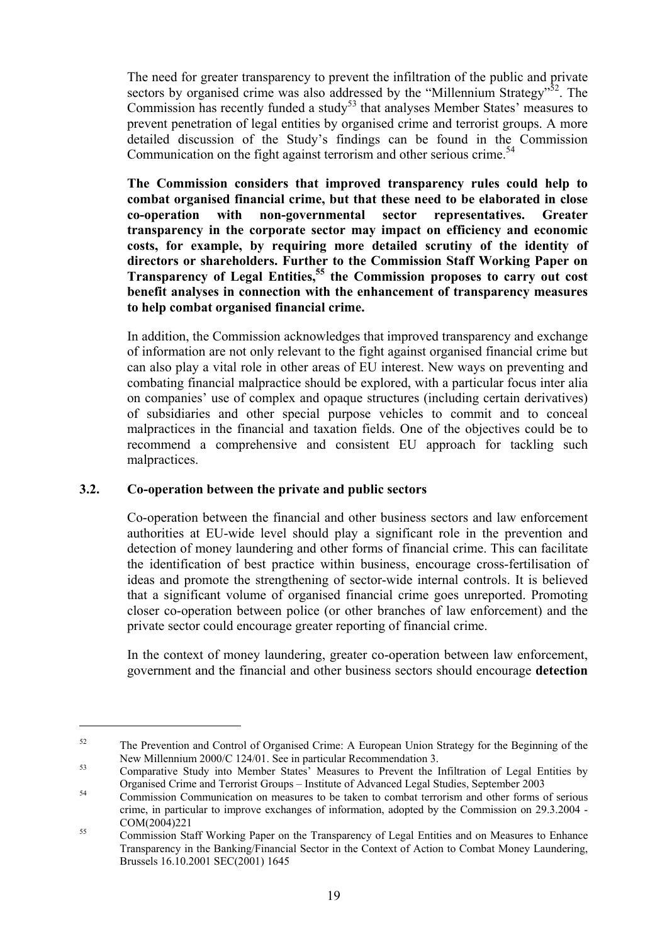The need for greater transparency to prevent the infiltration of the public and private sectors by organised crime was also addressed by the "Millennium Strategy"<sup>52</sup>. The Commission has recently funded a study<sup>53</sup> that analyses Member States' measures to prevent penetration of legal entities by organised crime and terrorist groups. A more detailed discussion of the Study's findings can be found in the Commission Communication on the fight against terrorism and other serious crime.<sup>54</sup>

**The Commission considers that improved transparency rules could help to combat organised financial crime, but that these need to be elaborated in close co-operation with non-governmental sector representatives. Greater transparency in the corporate sector may impact on efficiency and economic costs, for example, by requiring more detailed scrutiny of the identity of directors or shareholders. Further to the Commission Staff Working Paper on Transparency of Legal Entities,<sup>55</sup> the Commission proposes to carry out cost benefit analyses in connection with the enhancement of transparency measures to help combat organised financial crime.** 

In addition, the Commission acknowledges that improved transparency and exchange of information are not only relevant to the fight against organised financial crime but can also play a vital role in other areas of EU interest. New ways on preventing and combating financial malpractice should be explored, with a particular focus inter alia on companies' use of complex and opaque structures (including certain derivatives) of subsidiaries and other special purpose vehicles to commit and to conceal malpractices in the financial and taxation fields. One of the objectives could be to recommend a comprehensive and consistent EU approach for tackling such malpractices.

## **3.2. Co-operation between the private and public sectors**

 $\overline{a}$ 

Co-operation between the financial and other business sectors and law enforcement authorities at EU-wide level should play a significant role in the prevention and detection of money laundering and other forms of financial crime. This can facilitate the identification of best practice within business, encourage cross-fertilisation of ideas and promote the strengthening of sector-wide internal controls. It is believed that a significant volume of organised financial crime goes unreported. Promoting closer co-operation between police (or other branches of law enforcement) and the private sector could encourage greater reporting of financial crime.

In the context of money laundering, greater co-operation between law enforcement, government and the financial and other business sectors should encourage **detection** 

<sup>&</sup>lt;sup>52</sup> The Prevention and Control of Organised Crime: A European Union Strategy for the Beginning of the New Millennium 2000/C 124/01. See in particular Recommendation 3.<br>
Comparative Study into Member States' Measures to Prevent the Infiltration of Legal Entities by

Organised Crime and Terrorist Groups – Institute of Advanced Legal Studies, September 2003 54 Commission Communication on measures to be taken to combat terrorism and other forms of serious

crime, in particular to improve exchanges of information, adopted by the Commission on 29.3.2004 - COM(2004)221 55 Commission Staff Working Paper on the Transparency of Legal Entities and on Measures to Enhance

Transparency in the Banking/Financial Sector in the Context of Action to Combat Money Laundering, Brussels 16.10.2001 SEC(2001) 1645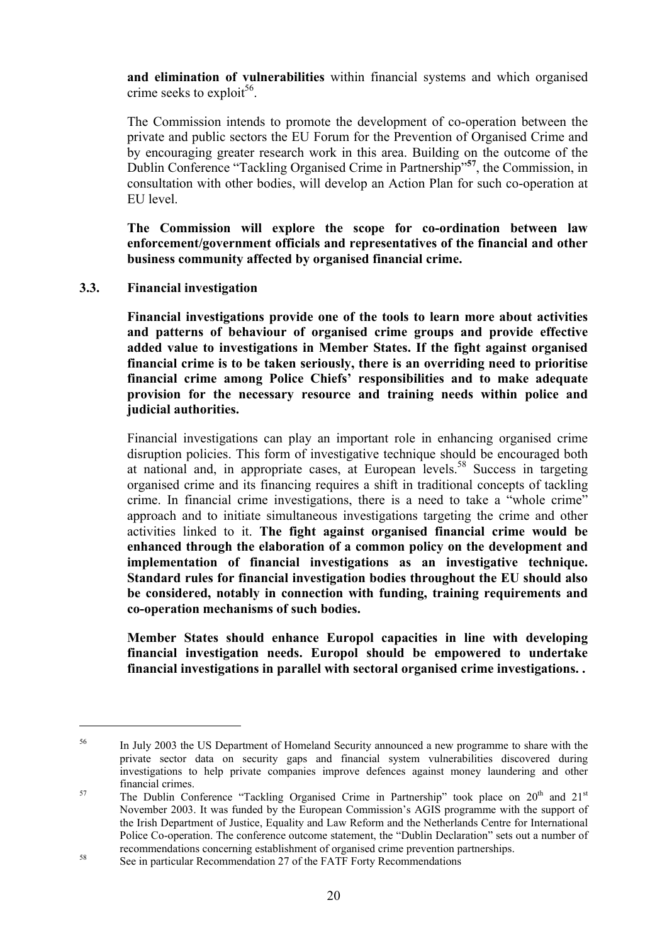**and elimination of vulnerabilities** within financial systems and which organised crime seeks to exploit<sup>56</sup>.

The Commission intends to promote the development of co-operation between the private and public sectors the EU Forum for the Prevention of Organised Crime and by encouraging greater research work in this area. Building on the outcome of the Dublin Conference "Tackling Organised Crime in Partnership"**<sup>57</sup>**, the Commission, in consultation with other bodies, will develop an Action Plan for such co-operation at EU level.

**The Commission will explore the scope for co-ordination between law enforcement/government officials and representatives of the financial and other business community affected by organised financial crime.** 

**3.3. Financial investigation** 

 $\overline{a}$ 

**Financial investigations provide one of the tools to learn more about activities and patterns of behaviour of organised crime groups and provide effective added value to investigations in Member States. If the fight against organised financial crime is to be taken seriously, there is an overriding need to prioritise financial crime among Police Chiefs' responsibilities and to make adequate provision for the necessary resource and training needs within police and judicial authorities.** 

Financial investigations can play an important role in enhancing organised crime disruption policies. This form of investigative technique should be encouraged both at national and, in appropriate cases, at European levels.58 Success in targeting organised crime and its financing requires a shift in traditional concepts of tackling crime. In financial crime investigations, there is a need to take a "whole crime" approach and to initiate simultaneous investigations targeting the crime and other activities linked to it. **The fight against organised financial crime would be enhanced through the elaboration of a common policy on the development and implementation of financial investigations as an investigative technique. Standard rules for financial investigation bodies throughout the EU should also be considered, notably in connection with funding, training requirements and co-operation mechanisms of such bodies.**

**Member States should enhance Europol capacities in line with developing financial investigation needs. Europol should be empowered to undertake financial investigations in parallel with sectoral organised crime investigations. .** 

<sup>&</sup>lt;sup>56</sup> In July 2003 the US Department of Homeland Security announced a new programme to share with the private sector data on security gaps and financial system vulnerabilities discovered during investigations to help private companies improve defences against money laundering and other financial crimes.<br>
The Dublin Conference "Tackling Organised Crime in Partnership" took place on 20<sup>th</sup> and 21<sup>st</sup>

November 2003. It was funded by the European Commission's AGIS programme with the support of the Irish Department of Justice, Equality and Law Reform and the Netherlands Centre for International Police Co-operation. The conference outcome statement, the "Dublin Declaration" sets out a number of recommendations concerning establishment of organised crime prevention partnerships.<br>See in particular Recommendation 27 of the FATF Forty Recommendations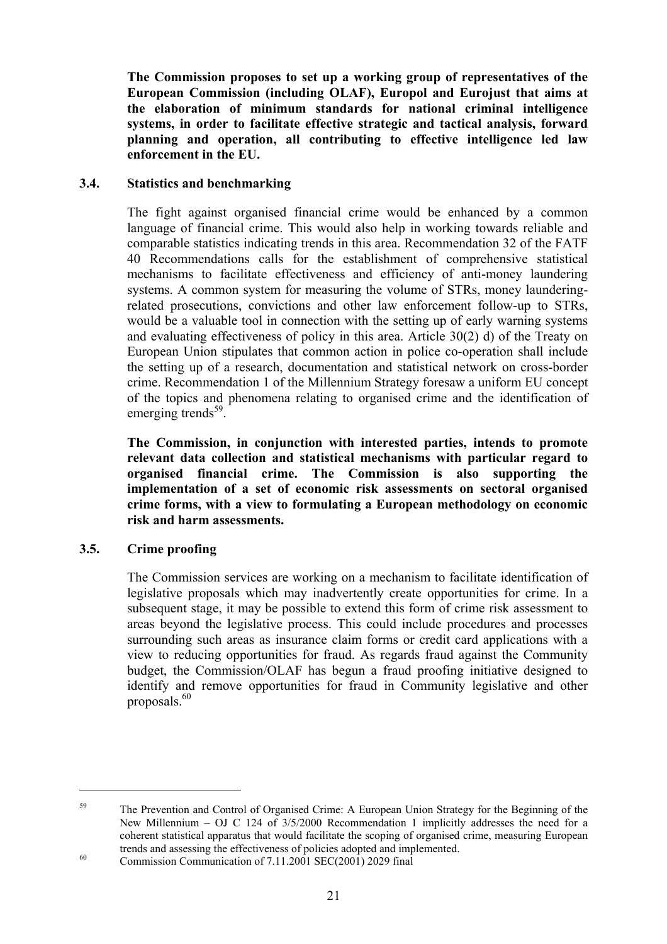**The Commission proposes to set up a working group of representatives of the European Commission (including OLAF), Europol and Eurojust that aims at the elaboration of minimum standards for national criminal intelligence systems, in order to facilitate effective strategic and tactical analysis, forward planning and operation, all contributing to effective intelligence led law enforcement in the EU.** 

## **3.4. Statistics and benchmarking**

The fight against organised financial crime would be enhanced by a common language of financial crime. This would also help in working towards reliable and comparable statistics indicating trends in this area. Recommendation 32 of the FATF 40 Recommendations calls for the establishment of comprehensive statistical mechanisms to facilitate effectiveness and efficiency of anti-money laundering systems. A common system for measuring the volume of STRs, money launderingrelated prosecutions, convictions and other law enforcement follow-up to STRs, would be a valuable tool in connection with the setting up of early warning systems and evaluating effectiveness of policy in this area. Article 30(2) d) of the Treaty on European Union stipulates that common action in police co-operation shall include the setting up of a research, documentation and statistical network on cross-border crime. Recommendation 1 of the Millennium Strategy foresaw a uniform EU concept of the topics and phenomena relating to organised crime and the identification of emerging trends<sup>59</sup>.

**The Commission, in conjunction with interested parties, intends to promote relevant data collection and statistical mechanisms with particular regard to organised financial crime. The Commission is also supporting the implementation of a set of economic risk assessments on sectoral organised crime forms, with a view to formulating a European methodology on economic risk and harm assessments.**

# **3.5. Crime proofing**

 $\overline{a}$ 

The Commission services are working on a mechanism to facilitate identification of legislative proposals which may inadvertently create opportunities for crime. In a subsequent stage, it may be possible to extend this form of crime risk assessment to areas beyond the legislative process. This could include procedures and processes surrounding such areas as insurance claim forms or credit card applications with a view to reducing opportunities for fraud. As regards fraud against the Community budget, the Commission/OLAF has begun a fraud proofing initiative designed to identify and remove opportunities for fraud in Community legislative and other proposals. $60$ 

<sup>&</sup>lt;sup>59</sup> The Prevention and Control of Organised Crime: A European Union Strategy for the Beginning of the New Millennium – OJ C 124 of 3/5/2000 Recommendation 1 implicitly addresses the need for a coherent statistical apparatus that would facilitate the scoping of organised crime, measuring European trends and assessing the effectiveness of policies adopted and implemented.<br>Commission Communication of 7.11.2001 SEC(2001) 2029 final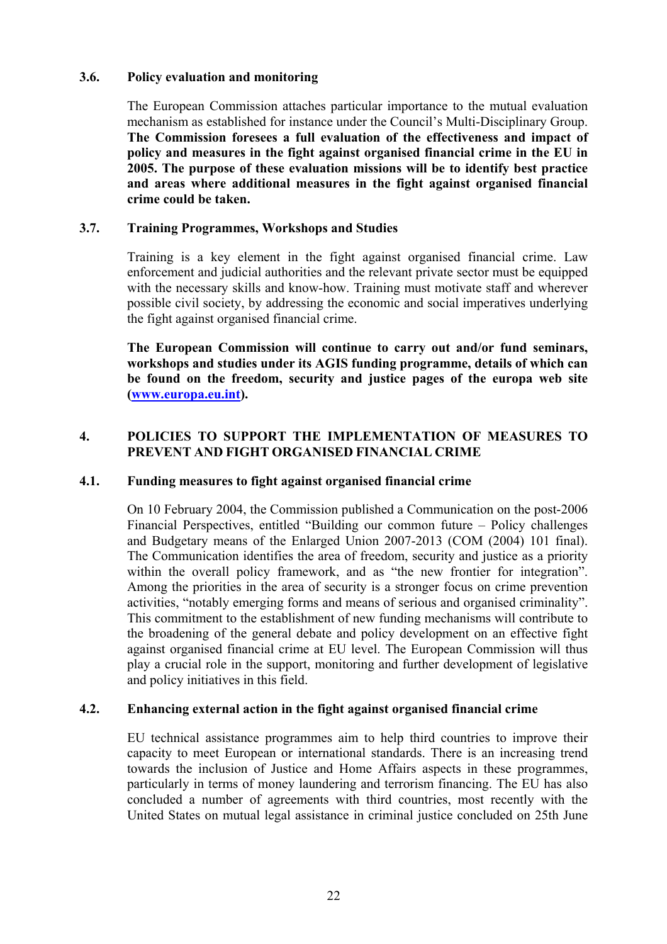#### **3.6. Policy evaluation and monitoring**

The European Commission attaches particular importance to the mutual evaluation mechanism as established for instance under the Council's Multi-Disciplinary Group. **The Commission foresees a full evaluation of the effectiveness and impact of policy and measures in the fight against organised financial crime in the EU in 2005. The purpose of these evaluation missions will be to identify best practice and areas where additional measures in the fight against organised financial crime could be taken.** 

#### **3.7. Training Programmes, Workshops and Studies**

Training is a key element in the fight against organised financial crime. Law enforcement and judicial authorities and the relevant private sector must be equipped with the necessary skills and know-how. Training must motivate staff and wherever possible civil society, by addressing the economic and social imperatives underlying the fight against organised financial crime.

**The European Commission will continue to carry out and/or fund seminars, workshops and studies under its AGIS funding programme, details of which can be found on the freedom, security and justice pages of the europa web site (www.europa.eu.int).** 

#### **4. POLICIES TO SUPPORT THE IMPLEMENTATION OF MEASURES TO PREVENT AND FIGHT ORGANISED FINANCIAL CRIME**

#### **4.1. Funding measures to fight against organised financial crime**

On 10 February 2004, the Commission published a Communication on the post-2006 Financial Perspectives, entitled "Building our common future – Policy challenges and Budgetary means of the Enlarged Union 2007-2013 (COM (2004) 101 final). The Communication identifies the area of freedom, security and justice as a priority within the overall policy framework, and as "the new frontier for integration". Among the priorities in the area of security is a stronger focus on crime prevention activities, "notably emerging forms and means of serious and organised criminality". This commitment to the establishment of new funding mechanisms will contribute to the broadening of the general debate and policy development on an effective fight against organised financial crime at EU level. The European Commission will thus play a crucial role in the support, monitoring and further development of legislative and policy initiatives in this field.

## **4.2. Enhancing external action in the fight against organised financial crime**

EU technical assistance programmes aim to help third countries to improve their capacity to meet European or international standards. There is an increasing trend towards the inclusion of Justice and Home Affairs aspects in these programmes, particularly in terms of money laundering and terrorism financing. The EU has also concluded a number of agreements with third countries, most recently with the United States on mutual legal assistance in criminal justice concluded on 25th June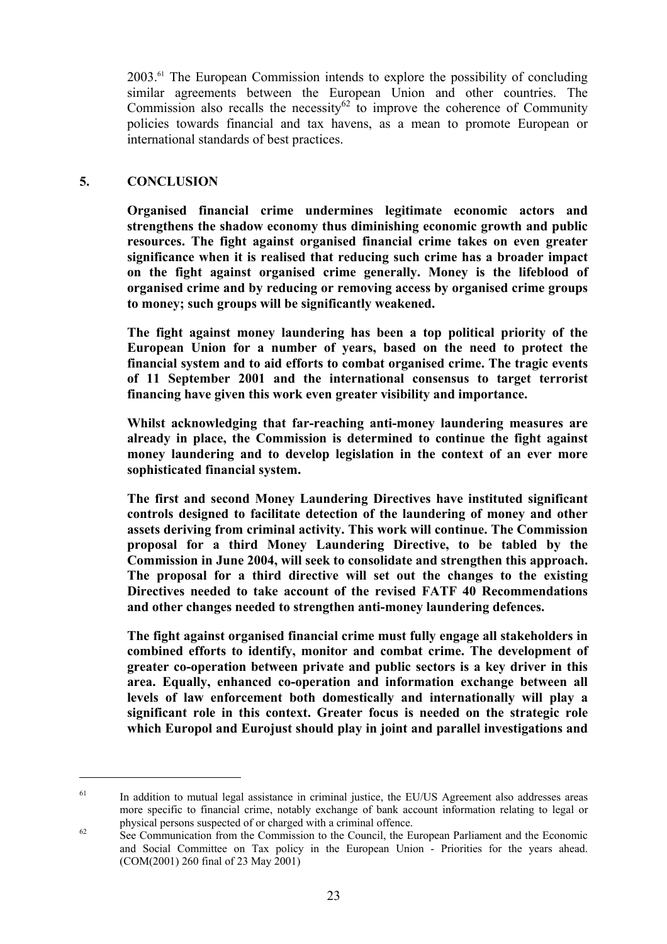2003.61 The European Commission intends to explore the possibility of concluding similar agreements between the European Union and other countries. The Commission also recalls the necessity $62 \text{ to improve the coherence of Community}$ policies towards financial and tax havens, as a mean to promote European or international standards of best practices.

#### **5. CONCLUSION**

 $\overline{a}$ 

**Organised financial crime undermines legitimate economic actors and strengthens the shadow economy thus diminishing economic growth and public resources. The fight against organised financial crime takes on even greater significance when it is realised that reducing such crime has a broader impact on the fight against organised crime generally. Money is the lifeblood of organised crime and by reducing or removing access by organised crime groups to money; such groups will be significantly weakened.** 

**The fight against money laundering has been a top political priority of the European Union for a number of years, based on the need to protect the financial system and to aid efforts to combat organised crime. The tragic events of 11 September 2001 and the international consensus to target terrorist financing have given this work even greater visibility and importance.** 

**Whilst acknowledging that far-reaching anti-money laundering measures are already in place, the Commission is determined to continue the fight against money laundering and to develop legislation in the context of an ever more sophisticated financial system.** 

**The first and second Money Laundering Directives have instituted significant controls designed to facilitate detection of the laundering of money and other assets deriving from criminal activity. This work will continue. The Commission proposal for a third Money Laundering Directive, to be tabled by the Commission in June 2004, will seek to consolidate and strengthen this approach. The proposal for a third directive will set out the changes to the existing Directives needed to take account of the revised FATF 40 Recommendations and other changes needed to strengthen anti-money laundering defences.** 

**The fight against organised financial crime must fully engage all stakeholders in combined efforts to identify, monitor and combat crime. The development of greater co-operation between private and public sectors is a key driver in this area. Equally, enhanced co-operation and information exchange between all levels of law enforcement both domestically and internationally will play a significant role in this context. Greater focus is needed on the strategic role which Europol and Eurojust should play in joint and parallel investigations and** 

<sup>&</sup>lt;sup>61</sup> In addition to mutual legal assistance in criminal justice, the EU/US Agreement also addresses areas more specific to financial crime, notably exchange of bank account information relating to legal or physical persons suspected of or charged with a criminal offence.<br>See Communication from the Commission to the Council, the European Parliament and the Economic

and Social Committee on Tax policy in the European Union - Priorities for the years ahead. (COM(2001) 260 final of 23 May 2001)